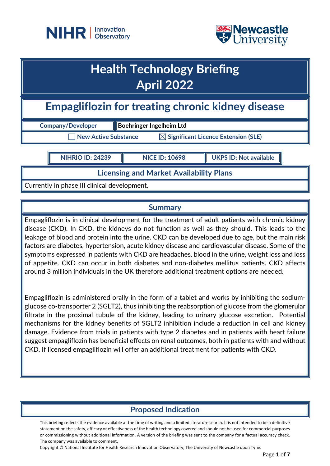



## **Health Technology Briefing April 2022**

## **Empagliflozin for treating chronic kidney disease**

**Company/Developer Boehringer Ingelheim Ltd** 

**New Active Substance Substance Significant Licence Extension (SLE)** 

**NIHRIO ID: 24239 NICE ID: 10698 UKPS ID: Not available**

**Licensing and Market Availability Plans**

Currently in phase III clinical development.

## **Summary**

Empagliflozin is in clinical development for the treatment of adult patients with chronic kidney disease (CKD). In CKD, the kidneys do not function as well as they should. This leads to the leakage of blood and protein into the urine. CKD can be developed due to age, but the main risk factors are diabetes, hypertension, acute kidney disease and cardiovascular disease. Some of the symptoms expressed in patients with CKD are headaches, blood in the urine, weight loss and loss of appetite. CKD can occur in both diabetes and non-diabetes mellitus patients. CKD affects around 3 million individuals in the UK therefore additional treatment options are needed.

Empagliflozin is administered orally in the form of a tablet and works by inhibiting the sodiumglucose co-transporter 2 (SGLT2), thus inhibiting the reabsorption of glucose from the glomerular filtrate in the proximal tubule of the kidney, leading to urinary glucose excretion. Potential mechanisms for the kidney benefits of SGLT2 inhibition include a reduction in cell and kidney damage. Evidence from trials in patients with type 2 diabetes and in patients with heart failure suggest empagliflozin has beneficial effects on renal outcomes, both in patients with and without CKD. If licensed empagliflozin will offer an additional treatment for patients with CKD.

## **Proposed Indication**

This briefing reflects the evidence available at the time of writing and a limited literature search. It is not intended to be a definitive statement on the safety, efficacy or effectiveness of the health technology covered and should not be used for commercial purposes or commissioning without additional information. A version of the briefing was sent to the company for a factual accuracy check. The company was available to comment.

Copyright © National Institute for Health Research Innovation Observatory, The University of Newcastle upon Tyne.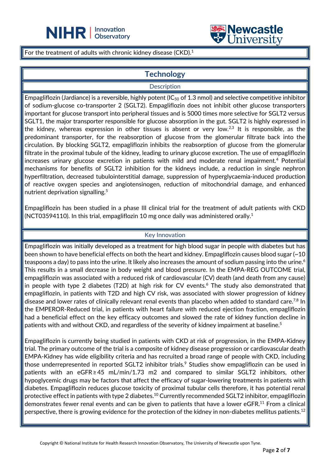



For the treatment of adults with chronic kidney disease (CKD).<sup>1</sup>

L

## **Technology**

#### **Description**

Empagliflozin (Jardiance) is a reversible, highly potent (IC $_{50}$  of 1.3 nmol) and selective competitive inhibitor of sodium-glucose co-transporter 2 (SGLT2). Empagliflozin does not inhibit other glucose transporters important for glucose transport into peripheral tissues and is 5000 times more selective for SGLT2 versus SGLT1, the major transporter responsible for glucose absorption in the gut. SGLT2 is highly expressed in the kidney, whereas expression in other tissues is absent or very low.<sup>2,3</sup> It is responsible, as the predominant transporter, for the reabsorption of glucose from the glomerular filtrate back into the circulation. By blocking SGLT2, empagliflozin inhibits the reabsorption of glucose from the glomerular filtrate in the proximal tubule of the kidney, leading to urinary glucose excretion. The use of empagliflozin increases urinary glucose excretion in patients with mild and moderate renal impairment. <sup>4</sup> Potential mechanisms for benefits of SGLT2 inhibition for the kidneys include, a reduction in single nephron hyperfiltration, decreased tubulointerstitial damage, suppression of hyperglycaemia-induced production of reactive oxygen species and angiotensinogen, reduction of mitochondrial damage, and enhanced nutrient deprivation signalling.<sup>5</sup>

Empagliflozin has been studied in a phase III clinical trial for the treatment of adult patients with CKD (NCT03594110). In this trial, empagliflozin 10 mg once daily was administered orally.1

#### Key Innovation

Empagliflozin was initially developed as a treatment for high blood sugar in people with diabetes but has been shown to have beneficial effects on both the heart and kidney. Empagliflozin causes blood sugar (~10 teaspoons a day) to pass into the urine. It likely also increases the amount of sodium passing into the urine.<sup>6</sup> This results in a small decrease in body weight and blood pressure. In the EMPA-REG OUTCOME trial, empagliflozin was associated with a reduced risk of cardiovascular (CV) death (and death from any cause) in people with type 2 diabetes (T2D) at high risk for CV events. <sup>6</sup> The study also demonstrated that empagliflozin, in patients with T2D and high CV risk, was associated with slower progression of kidney disease and lower rates of clinically relevant renal events than placebo when added to standard care.<sup>7,8</sup> In the EMPEROR-Reduced trial, in patients with heart failure with reduced ejection fraction, empagliflozin had a beneficial effect on the key efficacy outcomes and slowed the rate of kidney function decline in patients with and without CKD, and regardless of the severity of kidney impairment at baseline.<sup>5</sup>

Empagliflozin is currently being studied in patients with CKD at risk of progression, in the EMPA-Kidney trial. The primary outcome of the trial is a composite of kidney disease progression or cardiovascular death EMPA-Kidney has wide eligibility criteria and has recruited a broad range of people with CKD, including those underrepresented in reported SGLT2 inhibitor trials. <sup>9</sup> Studies show empagliflozin can be used in patients with an eGFR ≥ 45 mL/min/1.73 m2 and compared to similar SGLT2 inhibitors, other hypoglycemic drugs may be factors that affect the efficacy of sugar-lowering treatments in patients with diabetes. Empagliflozin reduces glucose toxicity of proximal tubular cells therefore, it has potential renal protective effect in patients with type 2 diabetes.<sup>10</sup> Currently recommended SGLT2 inhibitor, empagliflozin demonstrates fewer renal events and can be given to patients that have a lower eGFR.<sup>11</sup> From a clinical perspective, there is growing evidence for the protection of the kidney in non-diabetes mellitus patients. 12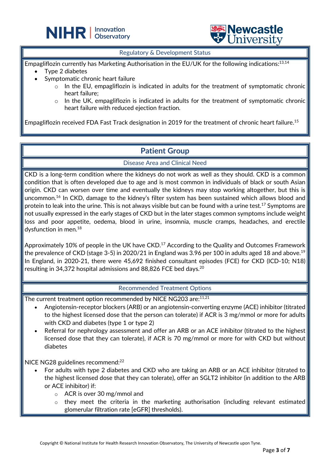



#### Regulatory & Development Status

Empagliflozin currently has Marketing Authorisation in the EU/UK for the following indications: $13,14$ 

L

- Type 2 diabetes
- Symptomatic chronic heart failure
	- o In the EU, empagliflozin is indicated in adults for the treatment of symptomatic chronic heart failure;
	- $\circ$  In the UK, empagliflozin is indicated in adults for the treatment of symptomatic chronic heart failure with reduced ejection fraction.

Empagliflozin received FDA Fast Track designation in 2019 for the treatment of chronic heart failure.<sup>15</sup>

### **Patient Group**

#### Disease Area and Clinical Need

CKD is a long-term condition where the kidneys do not work as well as they should. CKD is a common condition that is often developed due to age and is most common in individuals of black or south Asian origin. CKD can worsen over time and eventually the kidneys may stop working altogether, but this is uncommon.16 In CKD, damage to the kidney's filter system has been sustained which allows blood and protein to leak into the urine. This is not always visible but can be found with a urine test.<sup>17</sup> Symptoms are not usually expressed in the early stages of CKD but in the later stages common symptoms include weight loss and poor appetite, oedema, blood in urine, insomnia, muscle cramps, headaches, and erectile dysfunction in men.<sup>18</sup>

Approximately 10% of people in the UK have CKD.<sup>17</sup> According to the Quality and Outcomes Framework the prevalence of CKD (stage 3-5) in 2020/21 in England was 3.96 per 100 in adults aged 18 and above.<sup>19</sup> In England, in 2020-21, there were 45,692 finished consultant episodes (FCE) for CKD (ICD-10; N18) resulting in 34,372 hospital admissions and 88,826 FCE bed days.20

#### Recommended Treatment Options

The current treatment option recommended by NICE NG203 are: $^{\rm 11,21}$ 

- Angiotensin-receptor blockers (ARB) or an angiotensin-converting enzyme (ACE) inhibitor (titrated to the highest licensed dose that the person can tolerate) if ACR is 3 mg/mmol or more for adults with CKD and diabetes (type 1 or type 2)
- Referral for nephrology assessment and offer an ARB or an ACE inhibitor (titrated to the highest licensed dose that they can tolerate), if ACR is 70 mg/mmol or more for with CKD but without diabetes

NICE NG28 guidelines recommend:<sup>22</sup>

- For adults with type 2 diabetes and CKD who are taking an ARB or an ACE inhibitor (titrated to the highest licensed dose that they can tolerate), offer an SGLT2 inhibitor (in addition to the ARB or ACE inhibitor) if:
	- o ACR is over 30 mg/mmol and
	- $\circ$  they meet the criteria in the marketing authorisation (including relevant estimated glomerular filtration rate [eGFR] thresholds).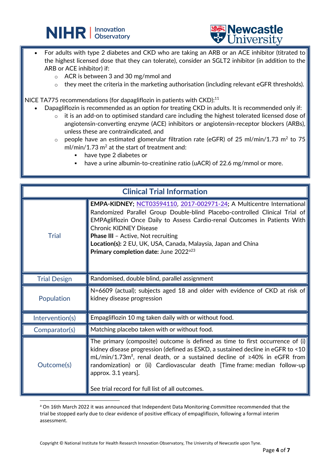



- For adults with type 2 diabetes and CKD who are taking an ARB or an ACE inhibitor (titrated to the highest licensed dose that they can tolerate), consider an SGLT2 inhibitor (in addition to the ARB or ACE inhibitor) if:
	- o ACR is between 3 and 30 mg/mmol and
	- o they meet the criteria in the marketing authorisation (including relevant eGFR thresholds).

NICE TA775 recommendations (for dapagliflozin in patients with CKD):<sup>11</sup>

L

- Dapagliflozin is recommended as an option for treating CKD in adults. It is recommended only if:
	- $\circ$  it is an add-on to optimised standard care including the highest tolerated licensed dose of angiotensin-converting enzyme (ACE) inhibitors or angiotensin-receptor blockers (ARBs), unless these are contraindicated, and
	- o people have an estimated glomerular filtration rate (eGFR) of 25 ml/min/1.73 m<sup>2</sup> to 75  $ml/min/1.73 m<sup>2</sup>$  at the start of treatment and:
		- **have type 2 diabetes or**
		- have a urine albumin-to-creatinine ratio (uACR) of 22.6 mg/mmol or more.

| <b>Clinical Trial Information</b> |                                                                                                                                                                                                                                                                                                                                                                                                                                          |
|-----------------------------------|------------------------------------------------------------------------------------------------------------------------------------------------------------------------------------------------------------------------------------------------------------------------------------------------------------------------------------------------------------------------------------------------------------------------------------------|
| <b>Trial</b>                      | EMPA-KIDNEY; NCT03594110, 2017-002971-24; A Multicentre International<br>Randomized Parallel Group Double-blind Placebo-controlled Clinical Trial of<br>EMPAgliflozin Once Daily to Assess Cardio-renal Outcomes in Patients With<br><b>Chronic KIDNEY Disease</b><br><b>Phase III</b> - Active, Not recruiting<br>Location(s): 2 EU, UK, USA, Canada, Malaysia, Japan and China<br>Primary completion date: June 2022 <sup>a23</sup>    |
| <b>Trial Design</b>               | Randomised, double blind, parallel assignment                                                                                                                                                                                                                                                                                                                                                                                            |
| Population                        | N=6609 (actual); subjects aged 18 and older with evidence of CKD at risk of<br>kidney disease progression                                                                                                                                                                                                                                                                                                                                |
| Intervention(s)                   | Empagliflozin 10 mg taken daily with or without food.                                                                                                                                                                                                                                                                                                                                                                                    |
| Comparator(s)                     | Matching placebo taken with or without food.                                                                                                                                                                                                                                                                                                                                                                                             |
| Outcome(s)                        | The primary (composite) outcome is defined as time to first occurrence of (i) $\parallel$<br>kidney disease progression (defined as ESKD, a sustained decline in eGFR to $\leq 10$<br>mL/min/1.73m <sup>2</sup> , renal death, or a sustained decline of $\geq$ 40% in eGFR from<br>randomization) or (ii) Cardiovascular death [Time frame: median follow-up]<br>approx. 3.1 years].<br>See trial record for full list of all outcomes. |

<span id="page-3-0"></span><sup>&</sup>lt;sup>a</sup> On 16th March 2022 it was announced that Independent Data Monitoring Committee recommended that the trial be stopped early due to clear evidence of positive efficacy of empagliflozin, following a formal interim assessment.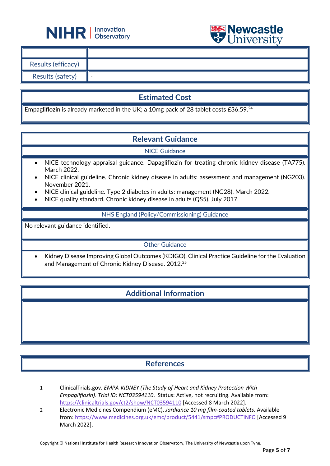



| Results (efficacy)      |  |
|-------------------------|--|
| <b>Results (safety)</b> |  |

## **Estimated Cost**

Empagliflozin is already marketed in the UK; a 10mg pack of 28 tablet costs £36.59. $^{24}$ 

L

## **Relevant Guidance**

### NICE Guidance

- NICE technology appraisal guidance. Dapagliflozin for treating chronic kidney disease (TA775). March 2022.
- NICE clinical guideline. Chronic kidney disease in adults: assessment and management (NG203). November 2021.
- NICE clinical guideline. Type 2 diabetes in adults: management (NG28). March 2022.
- NICE quality standard. Chronic kidney disease in adults (QS5). July 2017.

#### NHS England (Policy/Commissioning) Guidance

No relevant guidance identified.

#### Other Guidance

Kidney Disease Improving Global Outcomes (KDIGO). Clinical Practice Guideline for the Evaluation and Management of Chronic Kidney Disease. 2012. 25

## **Additional Information**

## **References**

- 1 ClinicalTrials.gov. *EMPA-KIDNEY (The Study of Heart and Kidney Protection With Empagliflozin)*. *Trial ID: NCT03594110*. Status: Active, not recruiting. Available from: <https://clinicaltrials.gov/ct2/show/NCT03594110> [Accessed 8 March 2022].
- 2 Electronic Medicines Compendium (eMC). *Jardiance 10 mg film-coated tablets*. Available from:<https://www.medicines.org.uk/emc/product/5441/smpc#PRODUCTINFO> [Accessed 9 March 2022].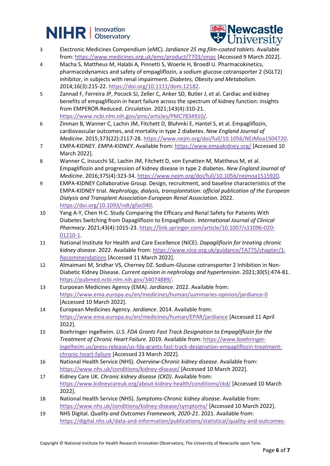# **NIHR** | Innovation



- 3 Electronic Medicines Compendium (eMC). *Jardiance 25 mg film-coated tablets*. Available from:<https://www.medicines.org.uk/emc/product/7703/smpc> [Accessed 9 March 2022].
- 4 Macha S, Mattheus M, Halabi A, Pinnetti S, Woerle H, Broedl U. Pharmacokinetics, pharmacodynamics and safety of empagliflozin, a sodium glucose cotransporter 2 (SGLT2) inhibitor, in subjects with renal impairment. *Diabetes, Obesity and Metabolism*. 2014;16(3):215-22. [https://doi.org/10.1111/dom.12182.](https://doi.org/10.1111/dom.12182)
- 5 Zannad F, Ferreira JP, Pocock SJ, Zeller C, Anker SD, Butler J, et al. Cardiac and kidney benefits of empagliflozin in heart failure across the spectrum of kidney function: insights from EMPEROR-Reduced. *Circulation*. 2021;143(4):310-21. [https://www.ncbi.nlm.nih.gov/pmc/articles/PMC7834910/.](https://www.ncbi.nlm.nih.gov/pmc/articles/PMC7834910/)
- 6 Zinman B, Wanner C, Lachin JM, Fitchett D, Bluhmki E, Hantel S, et al. Empagliflozin, cardiovascular outcomes, and mortality in type 2 diabetes. *New England Journal of Medicine*. 2015;373(22):2117-28. [https://www.nejm.org/doi/full/10.1056/NEJMoa1504720.](https://www.nejm.org/doi/full/10.1056/NEJMoa1504720)
- 7 EMPA-KIDNEY. *EMPA-KIDNEY*. Available from[: https://www.empakidney.org/](https://www.empakidney.org/) [Accessed 10 March 2022].
- 8 Wanner C, Inzucchi SE, Lachin JM, Fitchett D, von Eynatten M, Mattheus M, et al. Empagliflozin and progression of kidney disease in type 2 diabetes. *New England Journal of Medicine*. 2016;375(4):323-34. [https://www.nejm.org/doi/full/10.1056/nejmoa1515920.](https://www.nejm.org/doi/full/10.1056/nejmoa1515920)
- 9 EMPA-KIDNEY Collaborative Group. Design, recruitment, and baseline characteristics of the EMPA-KIDNEY trial. *Nephrology, dialysis, transplantation: official publication of the European Dialysis and Transplant Association-European Renal Association*. 2022. [https://doi.org/10.1093/ndt/gfac040.](https://doi.org/10.1093/ndt/gfac040)
- 10 Yang A-Y, Chen H-C. Study Comparing the Efficacy and Renal Safety for Patients With Diabetes Switching from Dapagliflozin to Empagliflozin. *International Journal of Clinical Pharmacy*. 2021;43(4):1015-23[. https://link.springer.com/article/10.1007/s11096-020-](https://link.springer.com/article/10.1007/s11096-020-01210-1) [01210-1.](https://link.springer.com/article/10.1007/s11096-020-01210-1)
- 11 National Institute for Health and Care Excellence (NICE). *Dapagliflozin for treating chronic kidney disease*. 2022. Available from[: https://www.nice.org.uk/guidance/TA775/chapter/1-](https://www.nice.org.uk/guidance/TA775/chapter/1-Recommendations) [Recommendations](https://www.nice.org.uk/guidance/TA775/chapter/1-Recommendations) [Accessed 11 March 2022].
- 12 Almaimani M, Sridhar VS, Cherney DZ. Sodium-Glucose cotransporter 2 Inhibition in Non-Diabetic Kidney Disease. *Current opinion in nephrology and hypertension*. 2021;30(5):474-81. [https://pubmed.ncbi.nlm.nih.gov/34074889/.](https://pubmed.ncbi.nlm.nih.gov/34074889/)
- 13 Eurpoean Medicines Agency (EMA). *Jardiance*. 2022. Available from: <https://www.ema.europa.eu/en/medicines/human/summaries-opinion/jardiance-0> [Accessed 10 March 2022].
- 14 European Medicines Agency. *Jardiance*. 2014. Available from: <https://www.ema.europa.eu/en/medicines/human/EPAR/jardiance> [Accessed 11 April 2022].
- 15 Boehringer Ingelheim. *U.S. FDA Grants Fast Track Designation to Empagliflozin for the Treatment of Chronic Heart Failure*. 2019. Available from[: https://www.boehringer](https://www.boehringer-ingelheim.us/press-release/us-fda-grants-fast-track-designation-empagliflozin-treatment-chronic-heart-failure)[ingelheim.us/press-release/us-fda-grants-fast-track-designation-empagliflozin-treatment](https://www.boehringer-ingelheim.us/press-release/us-fda-grants-fast-track-designation-empagliflozin-treatment-chronic-heart-failure)[chronic-heart-failure](https://www.boehringer-ingelheim.us/press-release/us-fda-grants-fast-track-designation-empagliflozin-treatment-chronic-heart-failure) [Accessed 23 March 2022].
- 16 National Health Service (NHS). *Overview-Chronic kidney disease*. Available from: <https://www.nhs.uk/conditions/kidney-disease/> [Accessed 10 March 2022].
- 17 Kidney Care UK. *Chronic kidney disease (CKD)*. Available from: <https://www.kidneycareuk.org/about-kidney-health/conditions/ckd/> [Accessed 10 March 2022].
- 18 National Health Service (NHS). *Symptoms-Chronic kidney disease*. Available from: <https://www.nhs.uk/conditions/kidney-disease/symptoms/> [Accessed 10 March 2022].
- 19 NHS Digital. *Quality and Outcomes Framework, 2020-21*. 2021. Available from: [https://digital.nhs.uk/data-and-information/publications/statistical/quality-and-outcomes-](https://digital.nhs.uk/data-and-information/publications/statistical/quality-and-outcomes-framework-achievement-prevalence-and-exceptions-data/2020-21)